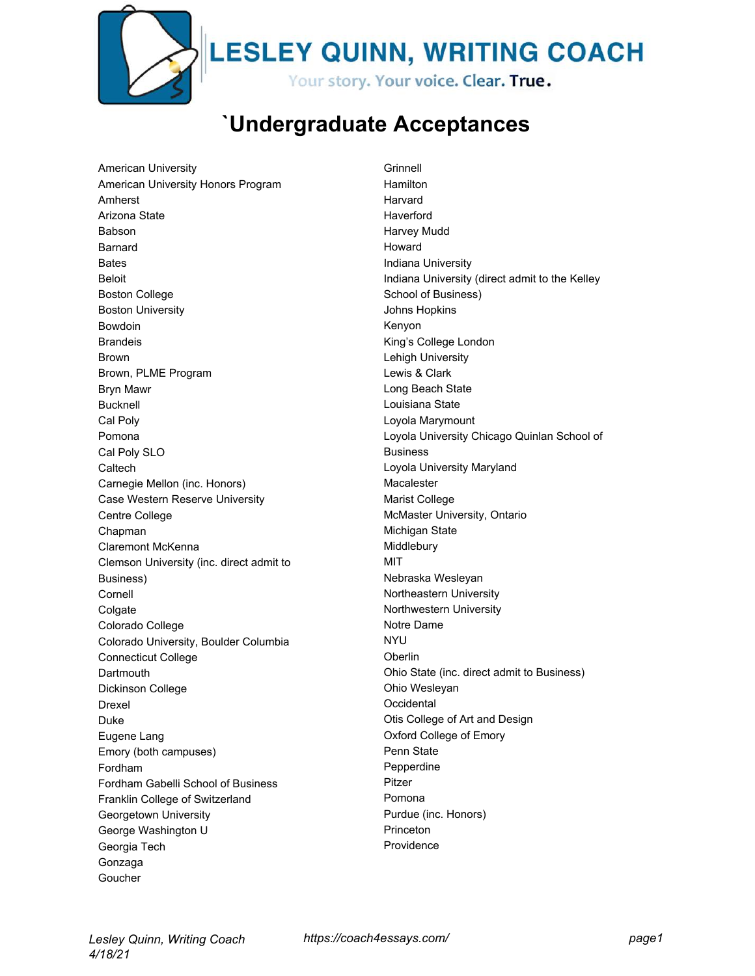

**LESLEY QUINN, WRITING COACH** 

Your story. Your voice. Clear. True.

## **`Undergraduate Acceptances**

American University American University Honors Program Amherst Arizona State Babson Barnard Bates Beloit Boston College Boston University Bowdoin Brandeis Brown Brown, PLME Program Bryn Mawr Bucknell Cal Poly Pomona Cal Poly SLO **Caltech** Carnegie Mellon (inc. Honors) Case Western Reserve University Centre College Chapman Claremont McKenna Clemson University (inc. direct admit to Business) Cornell **Colgate** Colorado College Colorado University, Boulder Columbia Connecticut College **Dartmouth** Dickinson College Drexel Duke Eugene Lang Emory (both campuses) Fordham Fordham Gabelli School of Business Franklin College of Switzerland Georgetown University George Washington U Georgia Tech Gonzaga Goucher

**Grinnell** Hamilton Harvard Haverford Harvey Mudd Howard Indiana University Indiana University (direct admit to the Kelley School of Business) Johns Hopkins Kenyon King's College London Lehigh University Lewis & Clark Long Beach State Louisiana State Loyola Marymount Loyola University Chicago Quinlan School of Business Loyola University Maryland Macalester Marist College McMaster University, Ontario Michigan State Middlebury MIT Nebraska Wesleyan Northeastern University Northwestern University Notre Dame NYU **Oberlin** Ohio State (inc. direct admit to Business) Ohio Wesleyan **Occidental** Otis College of Art and Design Oxford College of Emory Penn State Pepperdine Pitzer Pomona Purdue (inc. Honors) Princeton Providence